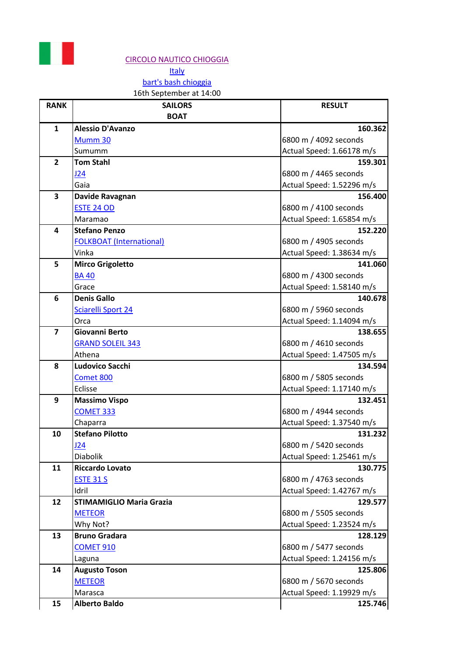

## [CIRCOLO NAUTICO CHIOGGIA](https://www.bartsbash.com/leaderboard?year=2018&venue=CIRCOLO%20NAUTICO%20CHIOGGIA)

**[Italy](https://www.bartsbash.com/leaderboard?year=2018&country=IT)** [bart's bash chioggia](https://www.bartsbash.com/leaderboard?year=2018&race=123992)

## 16th September at 14:00

| <b>RANK</b>             | <b>SAILORS</b>                  | <b>RESULT</b>             |
|-------------------------|---------------------------------|---------------------------|
|                         | <b>BOAT</b>                     |                           |
| $\mathbf{1}$            | <b>Alessio D'Avanzo</b>         | 160.362                   |
|                         | Mumm 30                         | 6800 m / 4092 seconds     |
|                         | Sumumm                          | Actual Speed: 1.66178 m/s |
| $\overline{2}$          | <b>Tom Stahl</b>                | 159.301                   |
|                         | J24                             | 6800 m / 4465 seconds     |
|                         | Gaia                            | Actual Speed: 1.52296 m/s |
| 3                       | Davide Ravagnan                 | 156.400                   |
|                         | <b>ESTE 24 OD</b>               | 6800 m / 4100 seconds     |
|                         | Maramao                         | Actual Speed: 1.65854 m/s |
| 4                       | <b>Stefano Penzo</b>            | 152.220                   |
|                         | <b>FOLKBOAT (International)</b> | 6800 m / 4905 seconds     |
|                         | Vinka                           | Actual Speed: 1.38634 m/s |
| 5                       | <b>Mirco Grigoletto</b>         | 141.060                   |
|                         | <b>BA40</b>                     | 6800 m / 4300 seconds     |
|                         | Grace                           | Actual Speed: 1.58140 m/s |
| 6                       | <b>Denis Gallo</b>              | 140.678                   |
|                         | <b>Sciarelli Sport 24</b>       | 6800 m / 5960 seconds     |
|                         | Orca                            | Actual Speed: 1.14094 m/s |
| $\overline{\mathbf{z}}$ | Giovanni Berto                  | 138.655                   |
|                         | <b>GRAND SOLEIL 343</b>         | 6800 m / 4610 seconds     |
|                         | Athena                          | Actual Speed: 1.47505 m/s |
| 8                       | Ludovico Sacchi                 | 134.594                   |
|                         | Comet 800                       | 6800 m / 5805 seconds     |
|                         | Eclisse                         | Actual Speed: 1.17140 m/s |
| 9                       | <b>Massimo Vispo</b>            | 132.451                   |
|                         | <b>COMET 333</b>                | 6800 m / 4944 seconds     |
|                         | Chaparra                        | Actual Speed: 1.37540 m/s |
| 10                      | <b>Stefano Pilotto</b>          | 131.232                   |
|                         | J24                             | 6800 m / 5420 seconds     |
|                         | <b>Diabolik</b>                 | Actual Speed: 1.25461 m/s |
| 11                      | <b>Riccardo Lovato</b>          | 130.775                   |
|                         | <b>ESTE 31 S</b>                | 6800 m / 4763 seconds     |
|                         | Idril                           | Actual Speed: 1.42767 m/s |
| 12                      | <b>STIMAMIGLIO Maria Grazia</b> | 129.577                   |
|                         | <b>METEOR</b>                   | 6800 m / 5505 seconds     |
|                         | Why Not?                        | Actual Speed: 1.23524 m/s |
| 13                      | <b>Bruno Gradara</b>            | 128.129                   |
|                         | <b>COMET 910</b>                | 6800 m / 5477 seconds     |
|                         | Laguna                          | Actual Speed: 1.24156 m/s |
| 14                      | <b>Augusto Toson</b>            | 125.806                   |
|                         | <b>METEOR</b>                   | 6800 m / 5670 seconds     |
|                         | Marasca                         | Actual Speed: 1.19929 m/s |
| 15                      | <b>Alberto Baldo</b>            | 125.746                   |